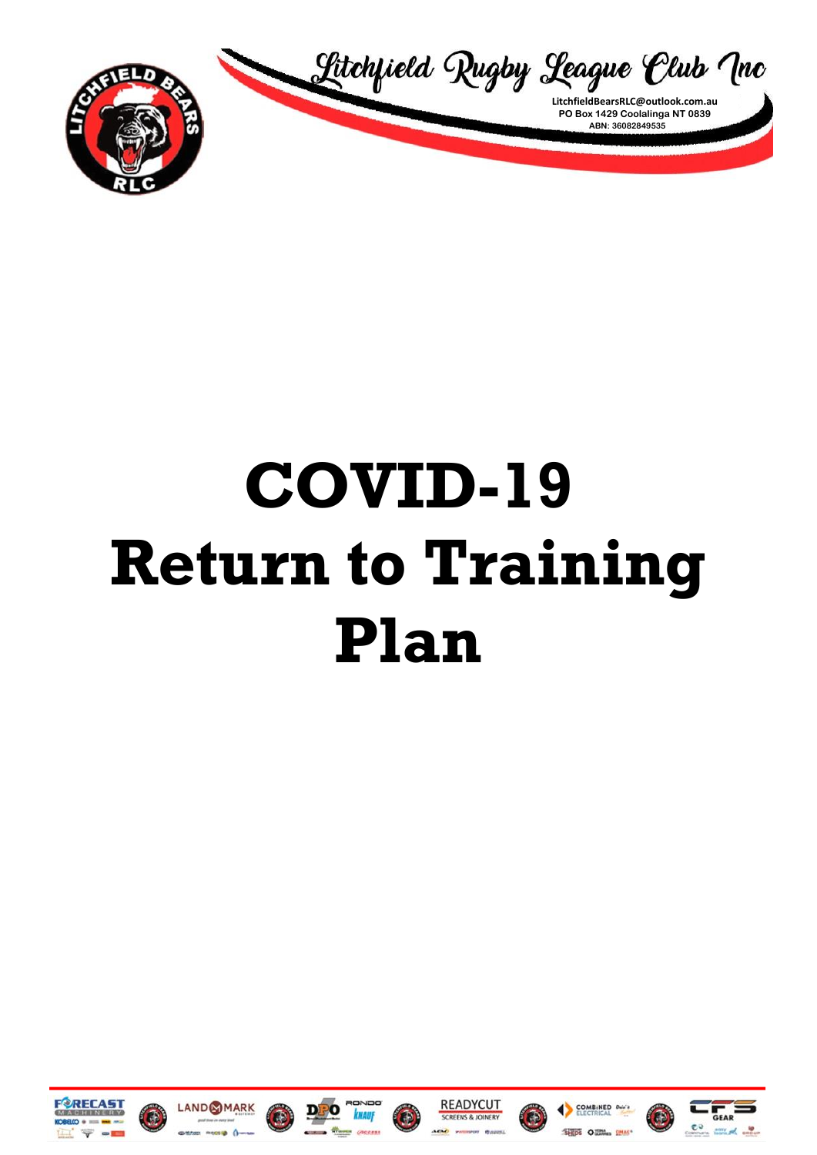

## COVID-19 **Return to Training** Plan















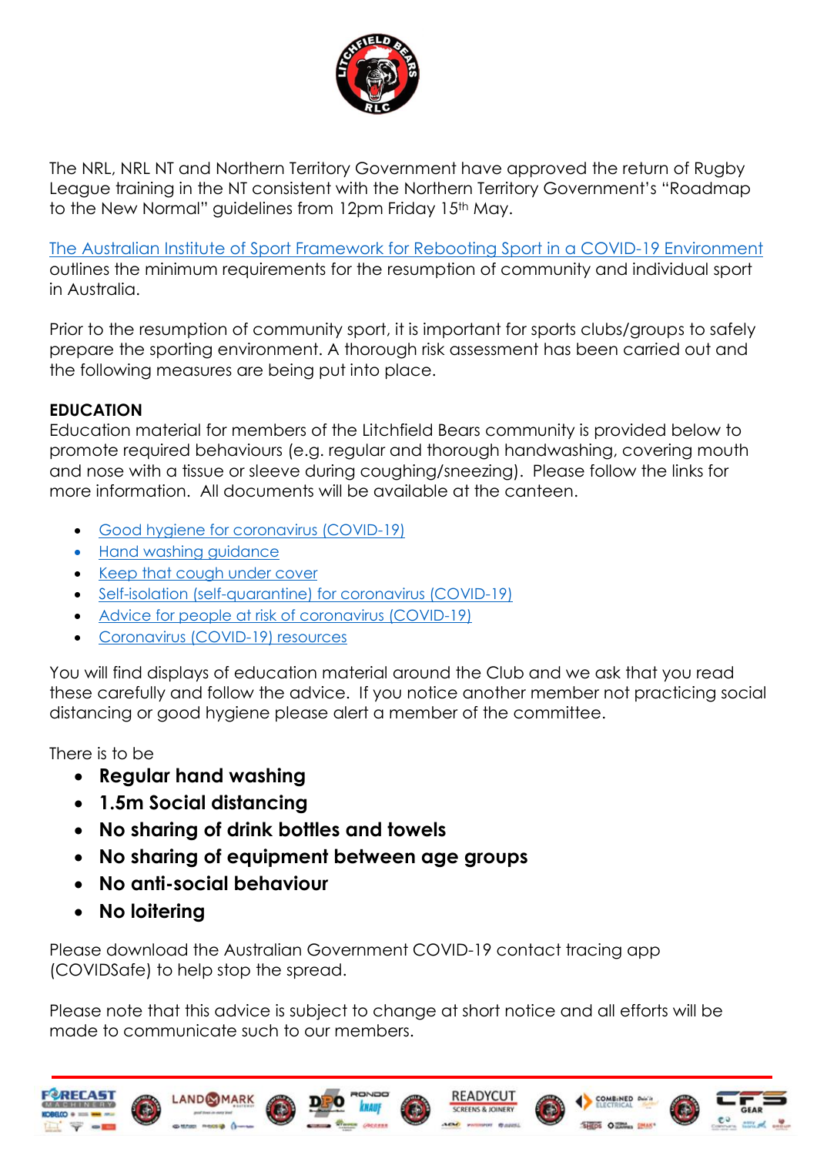

The NRL, NRL NT and Northern Territory Government have approved the return of Rugby League training in the NT consistent with the Northern Territory Government's "Roadmap to the New Normal" guidelines from 12pm Friday 15<sup>th</sup> May.

[The Australian Institute of Sport Framework for Rebooting Sport in a COVID-19 Environment](https://ais.gov.au/__data/assets/pdf_file/0008/730376/35845_AIS-Framework-for-rebooting-sport_FA.pdf) outlines the minimum requirements for the resumption of community and individual sport in Australia.

Prior to the resumption of community sport, it is important for sports clubs/groups to safely prepare the sporting environment. A thorough risk assessment has been carried out and the following measures are being put into place.

## **EDUCATION**

Education material for members of the Litchfield Bears community is provided below to promote required behaviours (e.g. regular and thorough handwashing, covering mouth and nose with a tissue or sleeve during coughing/sneezing). Please follow the links for more information. All documents will be available at the canteen.

- [Good hygiene for coronavirus \(COVID-19\)](https://www.health.gov.au/news/health-alerts/novel-coronavirus-2019-ncov-health-alert/how-to-protect-yourself-and-others-from-coronavirus-covid-19/good-hygiene-for-coronavirus-covid-19)
- [Hand washing guidance](https://www.who.int/gpsc/clean_hands_protection/en/)
- [Keep that cough under cover](https://www.health.gov.au/resources/publications/coronavirus-covid-19-keep-that-cough-under-cover)
- [Self-isolation \(self-quarantine\) for coronavirus \(COVID-19\)](https://www.health.gov.au/news/health-alerts/novel-coronavirus-2019-ncov-health-alert/how-to-protect-yourself-and-others-from-coronavirus-covid-19/self-isolation-self-quarantine-for-coronavirus-covid-19)
- [Advice for people at risk of coronavirus \(COVID-19\)](https://www.health.gov.au/news/health-alerts/novel-coronavirus-2019-ncov-health-alert/advice-for-people-at-risk-of-coronavirus-covid-19)
- [Coronavirus \(COVID-19\) resources](https://www.health.gov.au/resources/collections/novel-coronavirus-2019-ncov-resources)

You will find displays of education material around the Club and we ask that you read these carefully and follow the advice. If you notice another member not practicing social distancing or good hygiene please alert a member of the committee.

There is to be

- **Regular hand washing**
- **1.5m Social distancing**
- **No sharing of drink bottles and towels**
- **No sharing of equipment between age groups**
- **No anti-social behaviour**
- **No loitering**

Please download the Australian Government COVID-19 contact tracing app (COVIDSafe) to help stop the spread.

Please note that this advice is subject to change at short notice and all efforts will be made to communicate such to our members.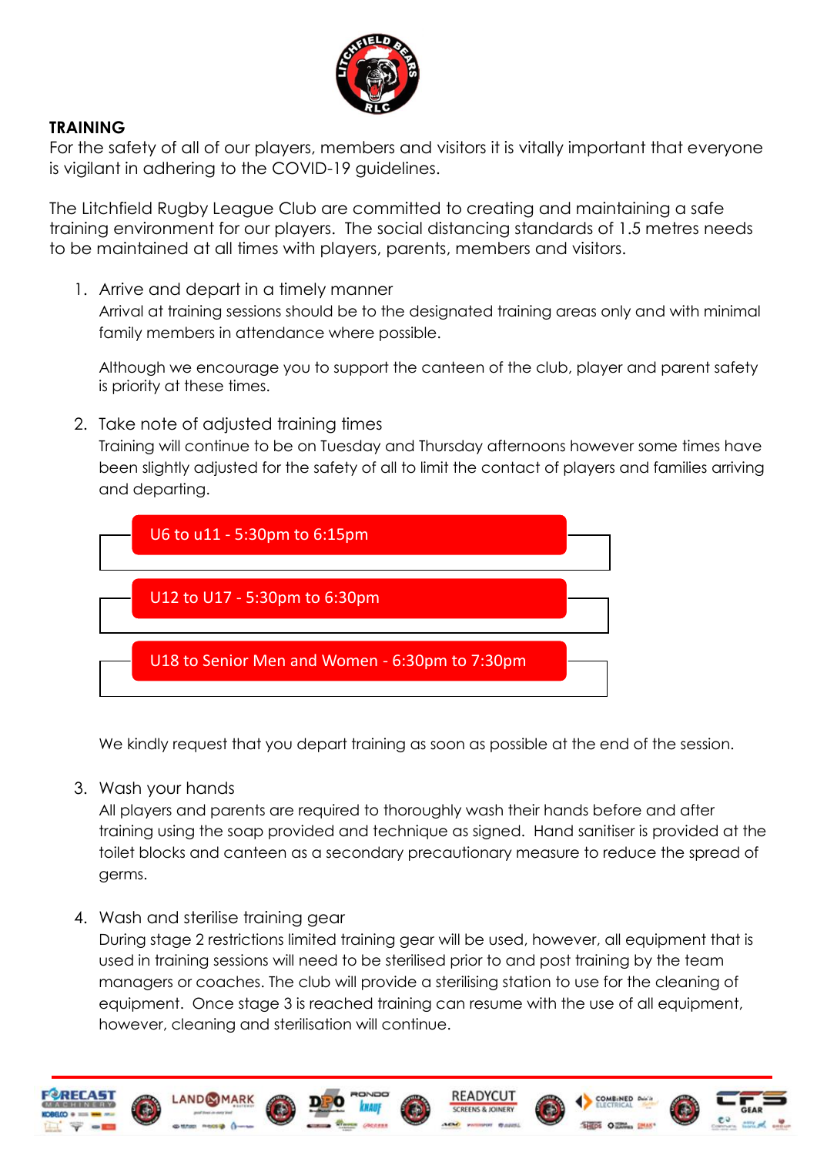

## **TRAINING**

For the safety of all of our players, members and visitors it is vitally important that everyone is vigilant in adhering to the COVID-19 guidelines.

The Litchfield Rugby League Club are committed to creating and maintaining a safe training environment for our players. The social distancing standards of 1.5 metres needs to be maintained at all times with players, parents, members and visitors.

1. Arrive and depart in a timely manner

Arrival at training sessions should be to the designated training areas only and with minimal family members in attendance where possible.

Although we encourage you to support the canteen of the club, player and parent safety is priority at these times.

2. Take note of adjusted training times

Training will continue to be on Tuesday and Thursday afternoons however some times have been slightly adjusted for the safety of all to limit the contact of players and families arriving and departing.



We kindly request that you depart training as soon as possible at the end of the session.

3. Wash your hands

All players and parents are required to thoroughly wash their hands before and after training using the soap provided and technique as signed. Hand sanitiser is provided at the toilet blocks and canteen as a secondary precautionary measure to reduce the spread of germs.

4. Wash and sterilise training gear

During stage 2 restrictions limited training gear will be used, however, all equipment that is used in training sessions will need to be sterilised prior to and post training by the team managers or coaches. The club will provide a sterilising station to use for the cleaning of equipment. Once stage 3 is reached training can resume with the use of all equipment, however, cleaning and sterilisation will continue.